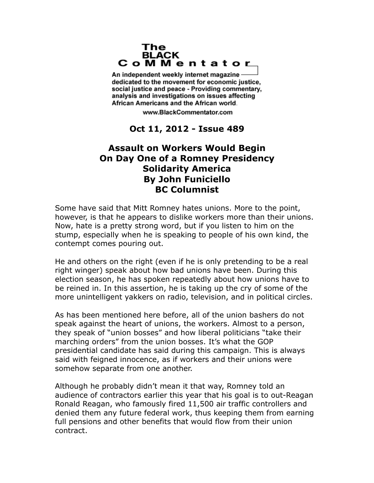## The **BLACK** CoMMentator

An independent weekly internet magazine dedicated to the movement for economic justice. social justice and peace - Providing commentary, analysis and investigations on issues affecting African Americans and the African world.

www.BlackCommentator.com

## **Oct 11, 2012 - Issue 489**

## **Assault on Workers Would Begin On Day One of a Romney Presidency Solidarity America By John Funiciello BC Columnist**

Some have said that Mitt Romney hates unions. More to the point, however, is that he appears to dislike workers more than their unions. Now, hate is a pretty strong word, but if you listen to him on the stump, especially when he is speaking to people of his own kind, the contempt comes pouring out.

He and others on the right (even if he is only pretending to be a real right winger) speak about how bad unions have been. During this election season, he has spoken repeatedly about how unions have to be reined in. In this assertion, he is taking up the cry of some of the more unintelligent yakkers on radio, television, and in political circles.

As has been mentioned here before, all of the union bashers do not speak against the heart of unions, the workers. Almost to a person, they speak of "union bosses" and how liberal politicians "take their marching orders" from the union bosses. It's what the GOP presidential candidate has said during this campaign. This is always said with feigned innocence, as if workers and their unions were somehow separate from one another.

Although he probably didn't mean it that way, Romney told an audience of contractors earlier this year that his goal is to out-Reagan Ronald Reagan, who famously fired 11,500 air traffic controllers and denied them any future federal work, thus keeping them from earning full pensions and other benefits that would flow from their union contract.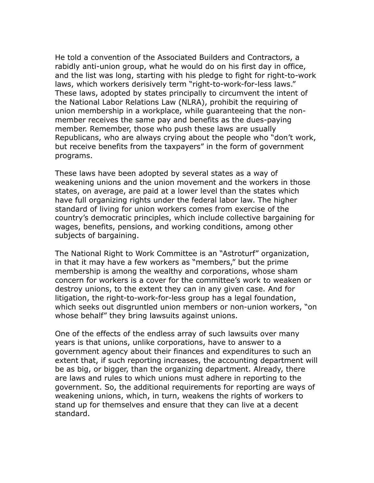He told a convention of the Associated Builders and Contractors, a rabidly anti-union group, what he would do on his first day in office, and the list was long, starting with his pledge to fight for right-to-work laws, which workers derisively term "right-to-work-for-less laws." These laws, adopted by states principally to circumvent the intent of the National Labor Relations Law (NLRA), prohibit the requiring of union membership in a workplace, while guaranteeing that the nonmember receives the same pay and benefits as the dues-paying member. Remember, those who push these laws are usually Republicans, who are always crying about the people who "don't work, but receive benefits from the taxpayers" in the form of government programs.

These laws have been adopted by several states as a way of weakening unions and the union movement and the workers in those states, on average, are paid at a lower level than the states which have full organizing rights under the federal labor law. The higher standard of living for union workers comes from exercise of the country's democratic principles, which include collective bargaining for wages, benefits, pensions, and working conditions, among other subjects of bargaining.

The National Right to Work Committee is an "Astroturf" organization, in that it may have a few workers as "members," but the prime membership is among the wealthy and corporations, whose sham concern for workers is a cover for the committee's work to weaken or destroy unions, to the extent they can in any given case. And for litigation, the right-to-work-for-less group has a legal foundation, which seeks out disgruntled union members or non-union workers, "on whose behalf" they bring lawsuits against unions.

One of the effects of the endless array of such lawsuits over many years is that unions, unlike corporations, have to answer to a government agency about their finances and expenditures to such an extent that, if such reporting increases, the accounting department will be as big, or bigger, than the organizing department. Already, there are laws and rules to which unions must adhere in reporting to the government. So, the additional requirements for reporting are ways of weakening unions, which, in turn, weakens the rights of workers to stand up for themselves and ensure that they can live at a decent standard.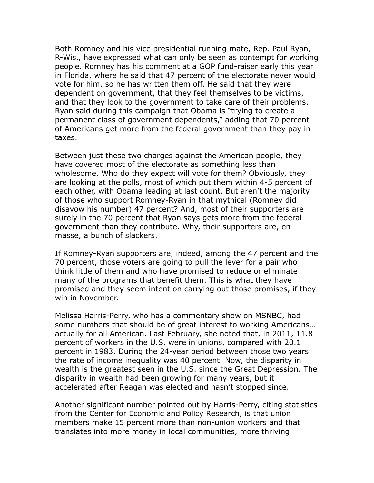Both Romney and his vice presidential running mate, Rep. Paul Ryan, R-Wis., have expressed what can only be seen as contempt for working people. Romney has his comment at a GOP fund-raiser early this year in Florida, where he said that 47 percent of the electorate never would vote for him, so he has written them off. He said that they were dependent on government, that they feel themselves to be victims, and that they look to the government to take care of their problems. Ryan said during this campaign that Obama is "trying to create a permanent class of government dependents," adding that 70 percent of Americans get more from the federal government than they pay in taxes.

Between just these two charges against the American people, they have covered most of the electorate as something less than wholesome. Who do they expect will vote for them? Obviously, they are looking at the polls, most of which put them within 4-5 percent of each other, with Obama leading at last count. But aren't the majority of those who support Romney-Ryan in that mythical (Romney did disavow his number) 47 percent? And, most of their supporters are surely in the 70 percent that Ryan says gets more from the federal government than they contribute. Why, their supporters are, en masse, a bunch of slackers.

If Romney-Ryan supporters are, indeed, among the 47 percent and the 70 percent, those voters are going to pull the lever for a pair who think little of them and who have promised to reduce or eliminate many of the programs that benefit them. This is what they have promised and they seem intent on carrying out those promises, if they win in November.

Melissa Harris-Perry, who has a commentary show on MSNBC, had some numbers that should be of great interest to working Americans… actually for all American. Last February, she noted that, in 2011, 11.8 percent of workers in the U.S. were in unions, compared with 20.1 percent in 1983. During the 24-year period between those two years the rate of income inequality was 40 percent. Now, the disparity in wealth is the greatest seen in the U.S. since the Great Depression. The disparity in wealth had been growing for many years, but it accelerated after Reagan was elected and hasn't stopped since.

Another significant number pointed out by Harris-Perry, citing statistics from the Center for Economic and Policy Research, is that union members make 15 percent more than non-union workers and that translates into more money in local communities, more thriving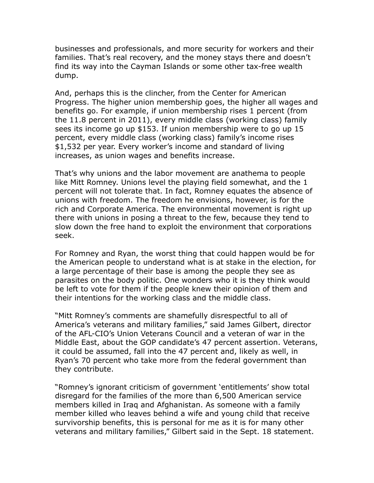businesses and professionals, and more security for workers and their families. That's real recovery, and the money stays there and doesn't find its way into the Cayman Islands or some other tax-free wealth dump.

And, perhaps this is the clincher, from the Center for American Progress. The higher union membership goes, the higher all wages and benefits go. For example, if union membership rises 1 percent (from the 11.8 percent in 2011), every middle class (working class) family sees its income go up \$153. If union membership were to go up 15 percent, every middle class (working class) family's income rises \$1,532 per year. Every worker's income and standard of living increases, as union wages and benefits increase.

That's why unions and the labor movement are anathema to people like Mitt Romney. Unions level the playing field somewhat, and the 1 percent will not tolerate that. In fact, Romney equates the absence of unions with freedom. The freedom he envisions, however, is for the rich and Corporate America. The environmental movement is right up there with unions in posing a threat to the few, because they tend to slow down the free hand to exploit the environment that corporations seek.

For Romney and Ryan, the worst thing that could happen would be for the American people to understand what is at stake in the election, for a large percentage of their base is among the people they see as parasites on the body politic. One wonders who it is they think would be left to vote for them if the people knew their opinion of them and their intentions for the working class and the middle class.

"Mitt Romney's comments are shamefully disrespectful to all of America's veterans and military families," said James Gilbert, director of the AFL-CIO's Union Veterans Council and a veteran of war in the Middle East, about the GOP candidate's 47 percent assertion. Veterans, it could be assumed, fall into the 47 percent and, likely as well, in Ryan's 70 percent who take more from the federal government than they contribute.

"Romney's ignorant criticism of government 'entitlements' show total disregard for the families of the more than 6,500 American service members killed in Iraq and Afghanistan. As someone with a family member killed who leaves behind a wife and young child that receive survivorship benefits, this is personal for me as it is for many other veterans and military families," Gilbert said in the Sept. 18 statement.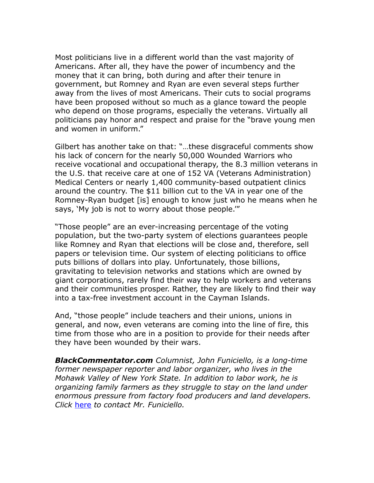Most politicians live in a different world than the vast majority of Americans. After all, they have the power of incumbency and the money that it can bring, both during and after their tenure in government, but Romney and Ryan are even several steps further away from the lives of most Americans. Their cuts to social programs have been proposed without so much as a glance toward the people who depend on those programs, especially the veterans. Virtually all politicians pay honor and respect and praise for the "brave young men and women in uniform."

Gilbert has another take on that: "…these disgraceful comments show his lack of concern for the nearly 50,000 Wounded Warriors who receive vocational and occupational therapy, the 8.3 million veterans in the U.S. that receive care at one of 152 VA (Veterans Administration) Medical Centers or nearly 1,400 community-based outpatient clinics around the country. The \$11 billion cut to the VA in year one of the Romney-Ryan budget [is] enough to know just who he means when he says, 'My job is not to worry about those people.'"

"Those people" are an ever-increasing percentage of the voting population, but the two-party system of elections guarantees people like Romney and Ryan that elections will be close and, therefore, sell papers or television time. Our system of electing politicians to office puts billions of dollars into play. Unfortunately, those billions, gravitating to television networks and stations which are owned by giant corporations, rarely find their way to help workers and veterans and their communities prosper. Rather, they are likely to find their way into a tax-free investment account in the Cayman Islands.

And, "those people" include teachers and their unions, unions in general, and now, even veterans are coming into the line of fire, this time from those who are in a position to provide for their needs after they have been wounded by their wars.

*BlackCommentator.com Columnist, John Funiciello, is a long-time former newspaper reporter and labor organizer, who lives in the Mohawk Valley of New York State. In addition to labor work, he is organizing family farmers as they struggle to stay on the land under enormous pressure from factory food producers and land developers. Click* [here](http://www.blackcommentator.com/contact_forms/funiciello/contact.php) *to contact Mr. Funiciello.*